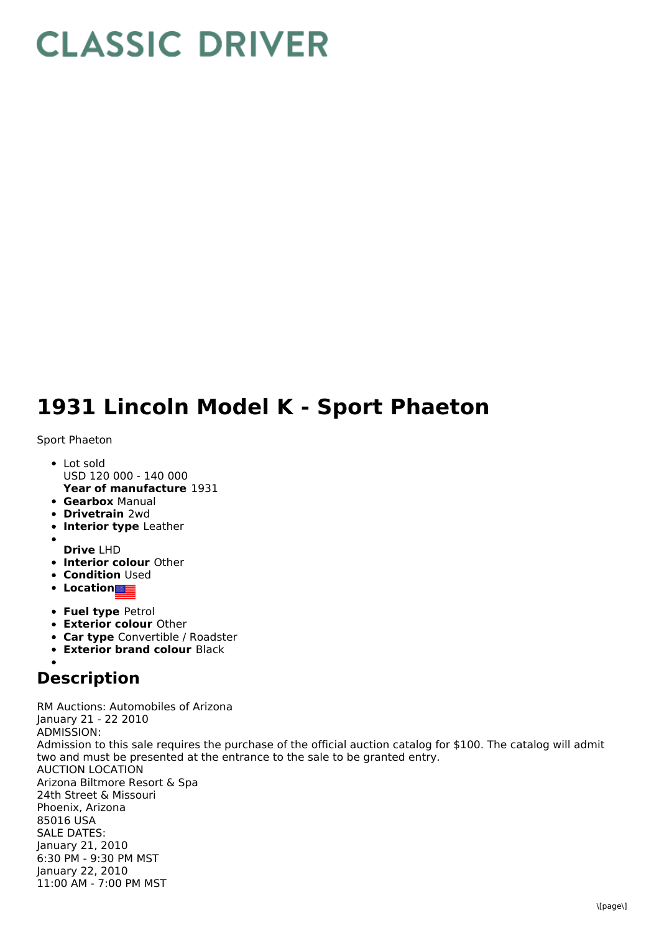## **CLASSIC DRIVER**

## **1931 Lincoln Model K - Sport Phaeton**

## Sport Phaeton

- **Year of manufacture** 1931 • Lot sold USD 120 000 - 140 000
- **Gearbox** Manual
- **Drivetrain** 2wd
- **Interior type** Leather
- **Drive** LHD
- **Interior colour** Other
- **Condition Used**
- **Location**
- **Fuel type** Petrol
- **Exterior colour** Other
- **Car type** Convertible / Roadster
- **Exterior brand colour** Black

## **Description**

RM Auctions: Automobiles of Arizona January 21 - 22 2010 ADMISSION: Admission to this sale requires the purchase of the official auction catalog for \$100. The catalog will admit two and must be presented at the entrance to the sale to be granted entry. AUCTION LOCATION Arizona Biltmore Resort & Spa 24th Street & Missouri Phoenix, Arizona 85016 USA SALE DATES: January 21, 2010 6:30 PM - 9:30 PM MST January 22, 2010 11:00 AM - 7:00 PM MST